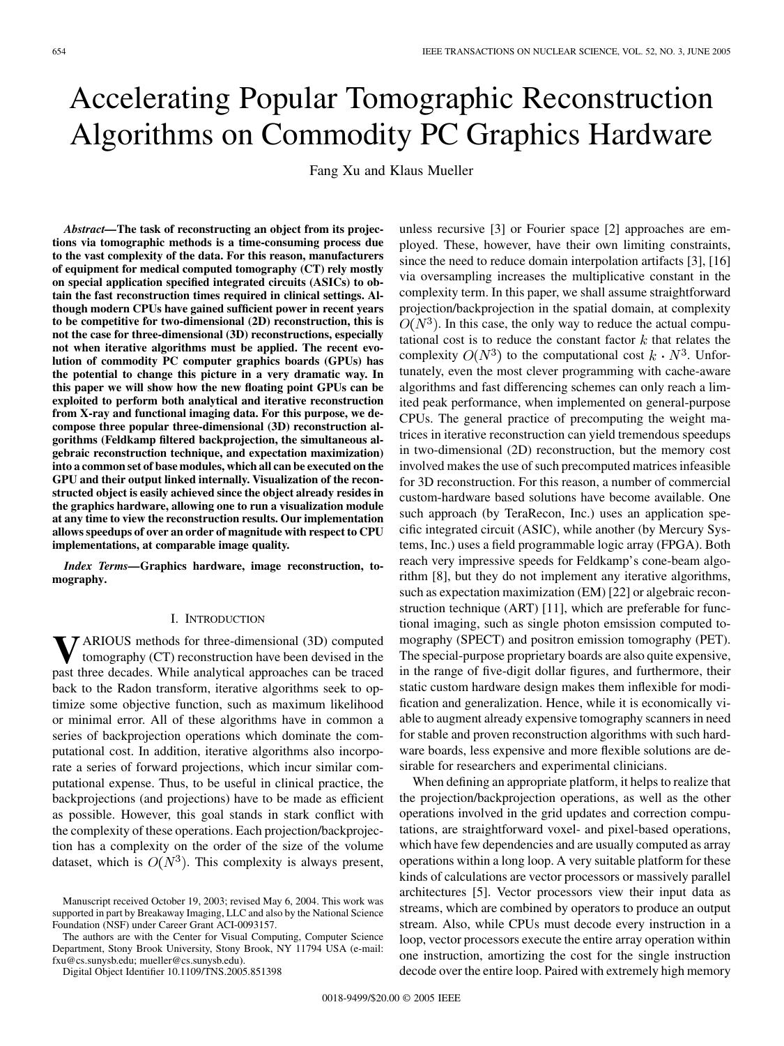# Accelerating Popular Tomographic Reconstruction Algorithms on Commodity PC Graphics Hardware

Fang Xu and Klaus Mueller

*Abstract—***The task of reconstructing an object from its projections via tomographic methods is a time-consuming process due to the vast complexity of the data. For this reason, manufacturers of equipment for medical computed tomography (CT) rely mostly on special application specified integrated circuits (ASICs) to obtain the fast reconstruction times required in clinical settings. Although modern CPUs have gained sufficient power in recent years to be competitive for two-dimensional (2D) reconstruction, this is not the case for three-dimensional (3D) reconstructions, especially not when iterative algorithms must be applied. The recent evolution of commodity PC computer graphics boards (GPUs) has the potential to change this picture in a very dramatic way. In this paper we will show how the new floating point GPUs can be exploited to perform both analytical and iterative reconstruction from X-ray and functional imaging data. For this purpose, we decompose three popular three-dimensional (3D) reconstruction algorithms (Feldkamp filtered backprojection, the simultaneous algebraic reconstruction technique, and expectation maximization) into a common set of base modules, which all can be executed on the GPU and their output linked internally. Visualization of the reconstructed object is easily achieved since the object already resides in the graphics hardware, allowing one to run a visualization module at any time to view the reconstruction results. Our implementation allows speedups of over an order of magnitude with respect to CPU implementations, at comparable image quality.**

*Index Terms—***Graphics hardware, image reconstruction, tomography.**

### I. INTRODUCTION

**V**ARIOUS methods for three-dimensional (3D) computed tomography (CT) reconstruction have been devised in the past three decades. While analytical approaches can be traced back to the Radon transform, iterative algorithms seek to optimize some objective function, such as maximum likelihood or minimal error. All of these algorithms have in common a series of backprojection operations which dominate the computational cost. In addition, iterative algorithms also incorporate a series of forward projections, which incur similar computational expense. Thus, to be useful in clinical practice, the backprojections (and projections) have to be made as efficient as possible. However, this goal stands in stark conflict with the complexity of these operations. Each projection/backprojection has a complexity on the order of the size of the volume dataset, which is  $O(N^3)$ . This complexity is always present,

The authors are with the Center for Visual Computing, Computer Science Department, Stony Brook University, Stony Brook, NY 11794 USA (e-mail: fxu@cs.sunysb.edu; mueller@cs.sunysb.edu).

Digital Object Identifier 10.1109/TNS.2005.851398

unless recursive [[3\]](#page-9-0) or Fourier space [\[2](#page-9-0)] approaches are employed. These, however, have their own limiting constraints, since the need to reduce domain interpolation artifacts [[3\]](#page-9-0), [\[16](#page-9-0)] via oversampling increases the multiplicative constant in the complexity term. In this paper, we shall assume straightforward projection/backprojection in the spatial domain, at complexity  $O(N^3)$ . In this case, the only way to reduce the actual computational cost is to reduce the constant factor  $k$  that relates the complexity  $O(N^3)$  to the computational cost  $k \cdot N^3$ . Unfortunately, even the most clever programming with cache-aware algorithms and fast differencing schemes can only reach a limited peak performance, when implemented on general-purpose CPUs. The general practice of precomputing the weight matrices in iterative reconstruction can yield tremendous speedups in two-dimensional (2D) reconstruction, but the memory cost involved makes the use of such precomputed matrices infeasible for 3D reconstruction. For this reason, a number of commercial custom-hardware based solutions have become available. One such approach (by TeraRecon, Inc.) uses an application specific integrated circuit (ASIC), while another (by Mercury Systems, Inc.) uses a field programmable logic array (FPGA). Both reach very impressive speeds for Feldkamp's cone-beam algorithm [[8\]](#page-9-0), but they do not implement any iterative algorithms, such as expectation maximization (EM) [\[22](#page-9-0)] or algebraic reconstruction technique (ART) [\[11](#page-9-0)], which are preferable for functional imaging, such as single photon emsission computed tomography (SPECT) and positron emission tomography (PET). The special-purpose proprietary boards are also quite expensive, in the range of five-digit dollar figures, and furthermore, their static custom hardware design makes them inflexible for modification and generalization. Hence, while it is economically viable to augment already expensive tomography scanners in need for stable and proven reconstruction algorithms with such hardware boards, less expensive and more flexible solutions are desirable for researchers and experimental clinicians.

When defining an appropriate platform, it helps to realize that the projection/backprojection operations, as well as the other operations involved in the grid updates and correction computations, are straightforward voxel- and pixel-based operations, which have few dependencies and are usually computed as array operations within a long loop. A very suitable platform for these kinds of calculations are vector processors or massively parallel architectures [\[5](#page-9-0)]. Vector processors view their input data as streams, which are combined by operators to produce an output stream. Also, while CPUs must decode every instruction in a loop, vector processors execute the entire array operation within one instruction, amortizing the cost for the single instruction decode over the entire loop. Paired with extremely high memory

Manuscript received October 19, 2003; revised May 6, 2004. This work was supported in part by Breakaway Imaging, LLC and also by the National Science Foundation (NSF) under Career Grant ACI-0093157.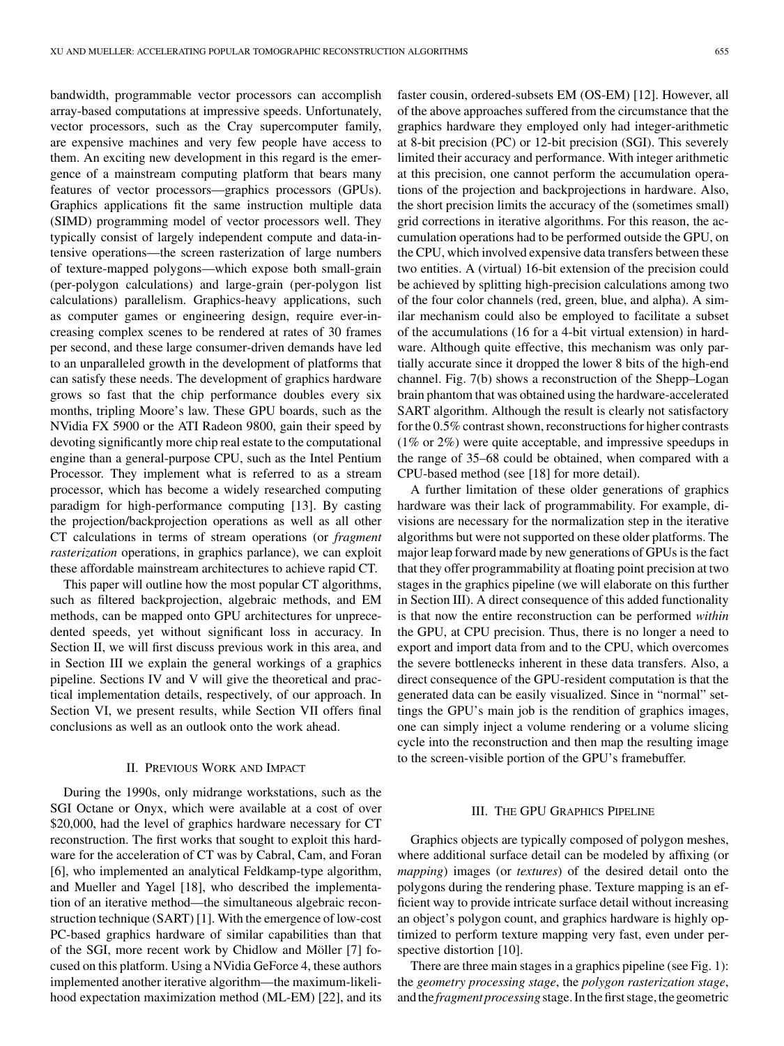bandwidth, programmable vector processors can accomplish array-based computations at impressive speeds. Unfortunately, vector processors, such as the Cray supercomputer family, are expensive machines and very few people have access to them. An exciting new development in this regard is the emergence of a mainstream computing platform that bears many features of vector processors—graphics processors (GPUs). Graphics applications fit the same instruction multiple data (SIMD) programming model of vector processors well. They typically consist of largely independent compute and data-intensive operations—the screen rasterization of large numbers of texture-mapped polygons—which expose both small-grain (per-polygon calculations) and large-grain (per-polygon list calculations) parallelism. Graphics-heavy applications, such as computer games or engineering design, require ever-increasing complex scenes to be rendered at rates of 30 frames per second, and these large consumer-driven demands have led to an unparalleled growth in the development of platforms that can satisfy these needs. The development of graphics hardware grows so fast that the chip performance doubles every six months, tripling Moore's law. These GPU boards, such as the NVidia FX 5900 or the ATI Radeon 9800, gain their speed by devoting significantly more chip real estate to the computational engine than a general-purpose CPU, such as the Intel Pentium Processor. They implement what is referred to as a stream processor, which has become a widely researched computing paradigm for high-performance computing [[13\]](#page-9-0). By casting the projection/backprojection operations as well as all other CT calculations in terms of stream operations (or *fragment rasterization* operations, in graphics parlance), we can exploit these affordable mainstream architectures to achieve rapid CT.

This paper will outline how the most popular CT algorithms, such as filtered backprojection, algebraic methods, and EM methods, can be mapped onto GPU architectures for unprecedented speeds, yet without significant loss in accuracy. In Section II, we will first discuss previous work in this area, and in Section III we explain the general workings of a graphics pipeline. Sections IV and V will give the theoretical and practical implementation details, respectively, of our approach. In Section VI, we present results, while Section VII offers final conclusions as well as an outlook onto the work ahead.

### II. PREVIOUS WORK AND IMPACT

During the 1990s, only midrange workstations, such as the SGI Octane or Onyx, which were available at a cost of over \$20,000, had the level of graphics hardware necessary for CT reconstruction. The first works that sought to exploit this hardware for the acceleration of CT was by Cabral, Cam, and Foran [\[6](#page-9-0)], who implemented an analytical Feldkamp-type algorithm, and Mueller and Yagel [\[18](#page-9-0)], who described the implementation of an iterative method—the simultaneous algebraic reconstruction technique (SART) [\[1](#page-9-0)]. With the emergence of low-cost PC-based graphics hardware of similar capabilities than that of the SGI, more recent work by Chidlow and Möller [[7\]](#page-9-0) focused on this platform. Using a NVidia GeForce 4, these authors implemented another iterative algorithm—the maximum-likelihood expectation maximization method (ML-EM) [\[22](#page-9-0)], and its

faster cousin, ordered-subsets EM (OS-EM) [\[12](#page-9-0)]. However, all of the above approaches suffered from the circumstance that the graphics hardware they employed only had integer-arithmetic at 8-bit precision (PC) or 12-bit precision (SGI). This severely limited their accuracy and performance. With integer arithmetic at this precision, one cannot perform the accumulation operations of the projection and backprojections in hardware. Also, the short precision limits the accuracy of the (sometimes small) grid corrections in iterative algorithms. For this reason, the accumulation operations had to be performed outside the GPU, on the CPU, which involved expensive data transfers between these two entities. A (virtual) 16-bit extension of the precision could be achieved by splitting high-precision calculations among two of the four color channels (red, green, blue, and alpha). A similar mechanism could also be employed to facilitate a subset of the accumulations (16 for a 4-bit virtual extension) in hardware. Although quite effective, this mechanism was only partially accurate since it dropped the lower 8 bits of the high-end channel. Fig. 7(b) shows a reconstruction of the Shepp–Logan brain phantom that was obtained using the hardware-accelerated SART algorithm. Although the result is clearly not satisfactory for the 0.5% contrast shown, reconstructions for higher contrasts (1% or 2%) were quite acceptable, and impressive speedups in the range of 35–68 could be obtained, when compared with a CPU-based method (see [[18\]](#page-9-0) for more detail).

A further limitation of these older generations of graphics hardware was their lack of programmability. For example, divisions are necessary for the normalization step in the iterative algorithms but were not supported on these older platforms. The major leap forward made by new generations of GPUs is the fact that they offer programmability at floating point precision at two stages in the graphics pipeline (we will elaborate on this further in Section III). A direct consequence of this added functionality is that now the entire reconstruction can be performed *within* the GPU, at CPU precision. Thus, there is no longer a need to export and import data from and to the CPU, which overcomes the severe bottlenecks inherent in these data transfers. Also, a direct consequence of the GPU-resident computation is that the generated data can be easily visualized. Since in "normal" settings the GPU's main job is the rendition of graphics images, one can simply inject a volume rendering or a volume slicing cycle into the reconstruction and then map the resulting image to the screen-visible portion of the GPU's framebuffer.

## III. THE GPU GRAPHICS PIPELINE

Graphics objects are typically composed of polygon meshes, where additional surface detail can be modeled by affixing (or *mapping*) images (or *textures*) of the desired detail onto the polygons during the rendering phase. Texture mapping is an efficient way to provide intricate surface detail without increasing an object's polygon count, and graphics hardware is highly optimized to perform texture mapping very fast, even under perspective distortion [[10\]](#page-9-0).

There are three main stages in a graphics pipeline (see Fig. 1): the *geometry processing stage*, the *polygon rasterization stage*, and the *fragment processing* stage. In the first stage, the geometric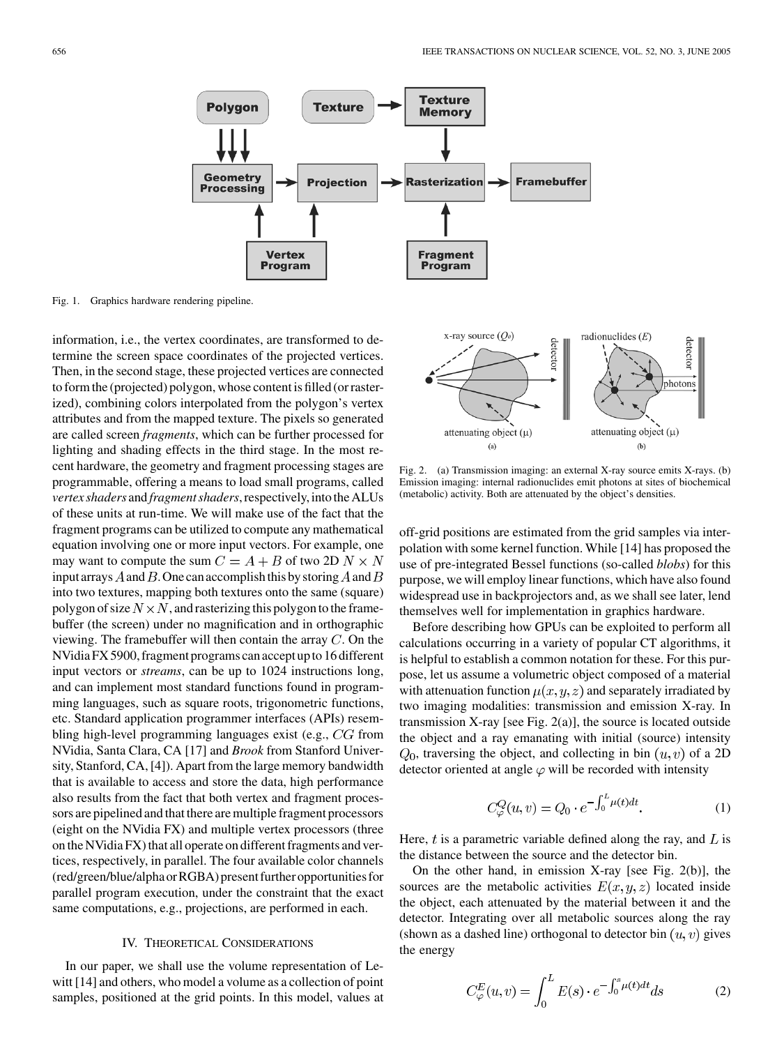

Fig. 1. Graphics hardware rendering pipeline.

information, i.e., the vertex coordinates, are transformed to determine the screen space coordinates of the projected vertices. Then, in the second stage, these projected vertices are connected to form the (projected) polygon, whose content is filled (or rasterized), combining colors interpolated from the polygon's vertex attributes and from the mapped texture. The pixels so generated are called screen *fragments*, which can be further processed for lighting and shading effects in the third stage. In the most recent hardware, the geometry and fragment processing stages are programmable, offering a means to load small programs, called *vertex shaders* and *fragment shaders*, respectively, into the ALUs of these units at run-time. We will make use of the fact that the fragment programs can be utilized to compute any mathematical equation involving one or more input vectors. For example, one may want to compute the sum  $C = A + B$  of two 2D  $N \times N$ input arrays A and B. One can accomplish this by storing A and B into two textures, mapping both textures onto the same (square) polygon of size  $N \times N$ , and rasterizing this polygon to the framebuffer (the screen) under no magnification and in orthographic viewing. The framebuffer will then contain the array  $C$ . On the NVidia FX 5900, fragment programs can accept up to 16 different input vectors or *streams*, can be up to 1024 instructions long, and can implement most standard functions found in programming languages, such as square roots, trigonometric functions, etc. Standard application programmer interfaces (APIs) resembling high-level programming languages exist (e.g.,  $CG$  from NVidia, Santa Clara, CA [\[17](#page-9-0)] and *Brook* from Stanford University, Stanford, CA, [\[4](#page-9-0)]). Apart from the large memory bandwidth that is available to access and store the data, high performance also results from the fact that both vertex and fragment processors are pipelined and that there are multiple fragment processors (eight on the NVidia FX) and multiple vertex processors (three on the NVidia FX) that all operate on different fragments and vertices, respectively, in parallel. The four available color channels (red/green/blue/alphaorRGBA)presentfurtheropportunitiesfor parallel program execution, under the constraint that the exact same computations, e.g., projections, are performed in each.

## IV. THEORETICAL CONSIDERATIONS

In our paper, we shall use the volume representation of Lewitt [\[14](#page-9-0)] and others, who model a volume as a collection of point samples, positioned at the grid points. In this model, values at

radionuclides  $(E)$ detector detector photons attenuating object  $(\mu)$ attenuating object  $(\mu)$  $(a)$  $(b)$ 

x-ray source  $(O_0)$ 

Fig. 2. (a) Transmission imaging: an external X-ray source emits X-rays. (b) Emission imaging: internal radionuclides emit photons at sites of biochemical (metabolic) activity. Both are attenuated by the object's densities.

off-grid positions are estimated from the grid samples via interpolation with some kernel function. While [[14\]](#page-9-0) has proposed the use of pre-integrated Bessel functions (so-called *blobs*) for this purpose, we will employ linear functions, which have also found widespread use in backprojectors and, as we shall see later, lend themselves well for implementation in graphics hardware.

Before describing how GPUs can be exploited to perform all calculations occurring in a variety of popular CT algorithms, it is helpful to establish a common notation for these. For this purpose, let us assume a volumetric object composed of a material with attenuation function  $\mu(x, y, z)$  and separately irradiated by two imaging modalities: transmission and emission X-ray. In transmission X-ray [see Fig.  $2(a)$ ], the source is located outside the object and a ray emanating with initial (source) intensity  $Q_0$ , traversing the object, and collecting in bin  $(u, v)$  of a 2D detector oriented at angle  $\varphi$  will be recorded with intensity

$$
C^Q_\varphi(u,v) = Q_0 \cdot e^{-\int_0^L \mu(t)dt}.\tag{1}
$$

Here, t is a parametric variable defined along the ray, and  $L$  is the distance between the source and the detector bin.

On the other hand, in emission X-ray [see Fig. 2(b)], the sources are the metabolic activities  $E(x, y, z)$  located inside the object, each attenuated by the material between it and the detector. Integrating over all metabolic sources along the ray (shown as a dashed line) orthogonal to detector bin  $(u, v)$  gives the energy

$$
C_{\varphi}^{E}(u,v) = \int_{0}^{L} E(s) \cdot e^{-\int_{0}^{s} \mu(t)dt} ds
$$
 (2)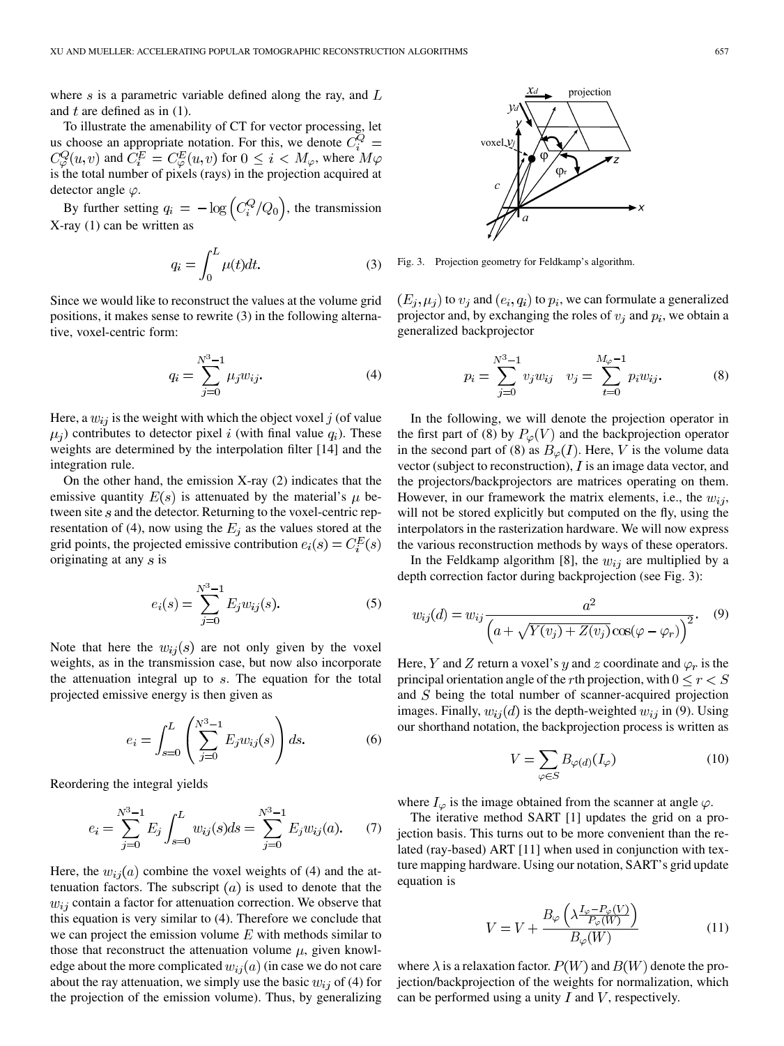where  $s$  is a parametric variable defined along the ray, and  $L$ and  $t$  are defined as in (1).

To illustrate the amenability of CT for vector processing, let us choose an appropriate notation. For this, we denote and  $C_i^E = C_{\varphi}^E(u, v)$  for  $0 \leq i \lt M_{\varphi}$ , where is the total number of pixels (rays) in the projection acquired at detector angle  $\varphi$ .

By further setting  $q_i = -\log\left(\frac{C_i}{Q_0}\right)$ , the transmission X-ray (1) can be written as

$$
q_i = \int_0^L \mu(t)dt.
$$
 (3)

Since we would like to reconstruct the values at the volume grid positions, it makes sense to rewrite (3) in the following alternative, voxel-centric form:

$$
q_i = \sum_{j=0}^{N^3 - 1} \mu_j w_{ij}.
$$
 (4)

Here, a  $w_{ij}$  is the weight with which the object voxel j (of value  $\mu_i$ ) contributes to detector pixel i (with final value  $q_i$ ). These weights are determined by the interpolation filter [\[14](#page-9-0)] and the integration rule.

On the other hand, the emission  $X$ -ray  $(2)$  indicates that the emissive quantity  $E(s)$  is attenuated by the material's  $\mu$  between site  $s$  and the detector. Returning to the voxel-centric representation of (4), now using the  $E_j$  as the values stored at the grid points, the projected emissive contribution  $e_i(s) = C_i^E(s)$ originating at any  $s$  is

$$
e_i(s) = \sum_{j=0}^{N^3 - 1} E_j w_{ij}(s).
$$
 (5)

Note that here the  $w_{ij}(s)$  are not only given by the voxel weights, as in the transmission case, but now also incorporate the attenuation integral up to  $s$ . The equation for the total projected emissive energy is then given as

$$
e_i = \int_{s=0}^{L} \left( \sum_{j=0}^{N^3 - 1} E_j w_{ij}(s) \right) ds.
$$
 (6)

Reordering the integral yields

$$
e_i = \sum_{j=0}^{N^3 - 1} E_j \int_{s=0}^{L} w_{ij}(s) ds = \sum_{j=0}^{N^3 - 1} E_j w_{ij}(a). \tag{7}
$$

Here, the  $w_{ij}(a)$  combine the voxel weights of (4) and the attenuation factors. The subscript  $(a)$  is used to denote that the  $w_{ij}$  contain a factor for attenuation correction. We observe that this equation is very similar to (4). Therefore we conclude that we can project the emission volume  $E$  with methods similar to those that reconstruct the attenuation volume  $\mu$ , given knowledge about the more complicated  $w_{ij}(a)$  (in case we do not care about the ray attenuation, we simply use the basic  $w_{ij}$  of (4) for the projection of the emission volume). Thus, by generalizing



Fig. 3. Projection geometry for Feldkamp's algorithm.

 $(E_j, \mu_j)$  to  $v_j$  and  $(e_i, q_i)$  to  $p_i$ , we can formulate a generalized projector and, by exchanging the roles of  $v_i$  and  $p_i$ , we obtain a generalized backprojector

$$
p_i = \sum_{j=0}^{N^3 - 1} v_j w_{ij} \quad v_j = \sum_{t=0}^{M_{\varphi} - 1} p_i w_{ij}.
$$
 (8)

In the following, we will denote the projection operator in the first part of (8) by  $P_{\varphi}(V)$  and the backprojection operator in the second part of (8) as  $B_{\varphi}(I)$ . Here, V is the volume data vector (subject to reconstruction),  $I$  is an image data vector, and the projectors/backprojectors are matrices operating on them. However, in our framework the matrix elements, i.e., the  $w_{ij}$ , will not be stored explicitly but computed on the fly, using the interpolators in the rasterization hardware. We will now express the various reconstruction methods by ways of these operators.

In the Feldkamp algorithm [\[8](#page-9-0)], the  $w_{ij}$  are multiplied by a depth correction factor during backprojection (see Fig. 3):

$$
w_{ij}(d) = w_{ij} \frac{a^2}{\left(a + \sqrt{Y(v_j) + Z(v_j)} \cos(\varphi - \varphi_r)\right)^2}.
$$
 (9)

Here, Y and Z return a voxel's y and z coordinate and  $\varphi_r$  is the principal orientation angle of the rth projection, with  $0 \le r < S$ and  $S$  being the total number of scanner-acquired projection images. Finally,  $w_{ij}(d)$  is the depth-weighted  $w_{ij}$  in (9). Using our shorthand notation, the backprojection process is written as

$$
V = \sum_{\varphi \in S} B_{\varphi(d)}(I_{\varphi}) \tag{10}
$$

where  $I_{\varphi}$  is the image obtained from the scanner at angle  $\varphi$ .

The iterative method SART [[1\]](#page-9-0) updates the grid on a projection basis. This turns out to be more convenient than the related (ray-based) ART [\[11](#page-9-0)] when used in conjunction with texture mapping hardware. Using our notation, SART's grid update equation is

$$
V = V + \frac{B_{\varphi}\left(\lambda \frac{I_{\varphi} - P_{\varphi}(V)}{P_{\varphi}(W)}\right)}{B_{\varphi}(W)}
$$
(11)

where  $\lambda$  is a relaxation factor.  $P(W)$  and  $B(W)$  denote the projection/backprojection of the weights for normalization, which can be performed using a unity  $I$  and  $V$ , respectively.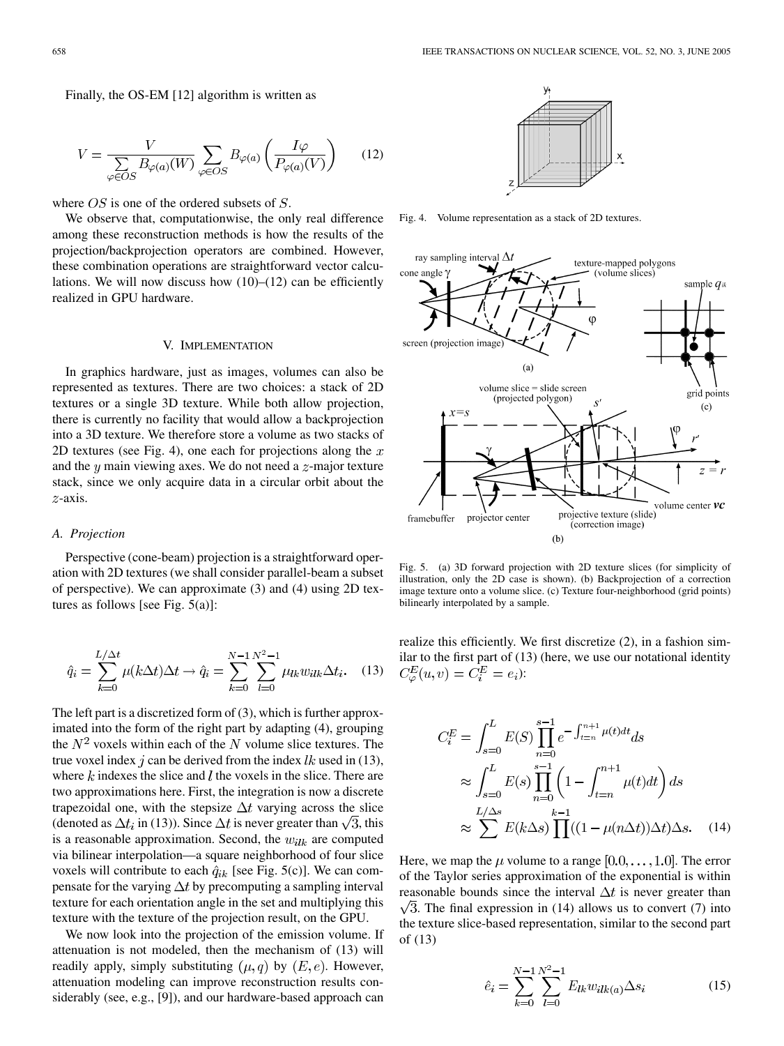Finally, the OS-EM [[12\]](#page-9-0) algorithm is written as

$$
V = \frac{V}{\sum_{\varphi \in OS} B_{\varphi(a)}(W)} \sum_{\varphi \in OS} B_{\varphi(a)} \left( \frac{I\varphi}{P_{\varphi(a)}(V)} \right) \tag{12}
$$

where  $OS$  is one of the ordered subsets of  $S$ .

We observe that, computationwise, the only real difference among these reconstruction methods is how the results of the projection/backprojection operators are combined. However, these combination operations are straightforward vector calculations. We will now discuss how  $(10)$ – $(12)$  can be efficiently realized in GPU hardware.

## V. IMPLEMENTATION

In graphics hardware, just as images, volumes can also be represented as textures. There are two choices: a stack of 2D textures or a single 3D texture. While both allow projection, there is currently no facility that would allow a backprojection into a 3D texture. We therefore store a volume as two stacks of 2D textures (see Fig. 4), one each for projections along the  $x$ and the y main viewing axes. We do not need a  $z$ -major texture stack, since we only acquire data in a circular orbit about the  $z$ -axis.

## *A. Projection*

Perspective (cone-beam) projection is a straightforward operation with 2D textures (we shall consider parallel-beam a subset of perspective). We can approximate (3) and (4) using 2D textures as follows [see Fig.  $5(a)$ ]:

$$
\hat{q}_i = \sum_{k=0}^{L/\Delta t} \mu(k\Delta t) \Delta t \rightarrow \hat{q}_i = \sum_{k=0}^{N-1} \sum_{l=0}^{N^2-1} \mu_{lk} w_{ilk} \Delta t_i.
$$
 (13)

The left part is a discretized form of (3), which is further approximated into the form of the right part by adapting (4), grouping the  $N^2$  voxels within each of the N volume slice textures. The true voxel index j can be derived from the index lk used in (13), where  $k$  indexes the slice and  $l$  the voxels in the slice. There are two approximations here. First, the integration is now a discrete trapezoidal one, with the stepsize  $\Delta t$  varying across the slice (denoted as  $\Delta t_i$  in (13)). Since  $\Delta t$  is never greater than  $\sqrt{3}$ , this is a reasonable approximation. Second, the  $w_{ilk}$  are computed via bilinear interpolation—a square neighborhood of four slice voxels will contribute to each  $\hat{q}_{ik}$  [see Fig. 5(c)]. We can compensate for the varying  $\Delta t$  by precomputing a sampling interval texture for each orientation angle in the set and multiplying this texture with the texture of the projection result, on the GPU.

We now look into the projection of the emission volume. If attenuation is not modeled, then the mechanism of (13) will readily apply, simply substituting  $(\mu, q)$  by  $(E, e)$ . However, attenuation modeling can improve reconstruction results considerably (see, e.g., [[9\]](#page-9-0)), and our hardware-based approach can



Fig. 4. Volume representation as a stack of 2D textures.



Fig. 5. (a) 3D forward projection with 2D texture slices (for simplicity of illustration, only the 2D case is shown). (b) Backprojection of a correction image texture onto a volume slice. (c) Texture four-neighborhood (grid points) bilinearly interpolated by a sample.

realize this efficiently. We first discretize (2), in a fashion similar to the first part of (13) (here, we use our notational identity  $C_{\alpha}^{E}(u,v) = C_{i}^{E} = e_{i}$ :

$$
C_i^E = \int_{s=0}^L E(S) \prod_{n=0}^{s-1} e^{-\int_{t=n}^{n+1} \mu(t)dt} ds
$$
  
\n
$$
\approx \int_{s=0}^L E(s) \prod_{n=0}^{s-1} \left(1 - \int_{t=n}^{n+1} \mu(t)dt\right) ds
$$
  
\n
$$
\approx \sum_{n=0}^{L/\Delta s} E(k\Delta s) \prod_{n=0}^{k-1} \left(1 - \mu(n\Delta t)\right) \Delta t \Delta s. \quad (14)
$$

Here, we map the  $\mu$  volume to a range  $[0.0, \ldots, 1.0]$ . The error of the Taylor series approximation of the exponential is within reasonable bounds since the interval  $\Delta t$  is never greater than  $\sqrt{3}$ . The final expression in (14) allows us to convert (7) into the texture slice-based representation, similar to the second part of (13)

$$
\hat{e}_i = \sum_{k=0}^{N-1} \sum_{l=0}^{N^2-1} E_{lk} w_{ilk(a)} \Delta s_i \tag{15}
$$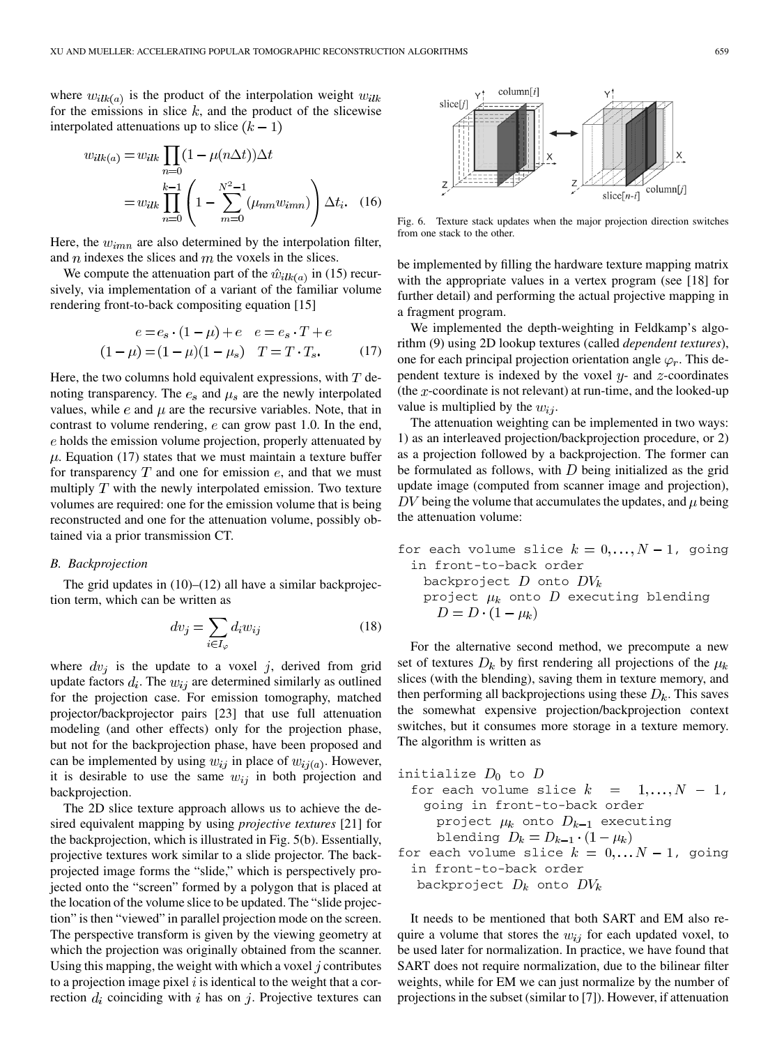where  $w_{ilk(a)}$  is the product of the interpolation weight  $w_{ilk}$ for the emissions in slice  $k$ , and the product of the slicewise interpolated attenuations up to slice  $(k - 1)$ 

$$
w_{ilk(a)} = w_{ilk} \prod_{n=0}^{n} (1 - \mu(n\Delta t)) \Delta t
$$
  
=  $w_{ilk} \prod_{n=0}^{k-1} \left( 1 - \sum_{m=0}^{N^2 - 1} (\mu_{nm} w_{imn}) \right) \Delta t_i$ . (16)

Here, the  $w_{imn}$  are also determined by the interpolation filter, and  $n$  indexes the slices and  $m$  the voxels in the slices.

We compute the attenuation part of the  $\hat{w}_{i l k(a)}$  in (15) recursively, via implementation of a variant of the familiar volume rendering front-to-back compositing equation [\[15](#page-9-0)]

$$
e = e_s \cdot (1 - \mu) + e \quad e = e_s \cdot T + e
$$

$$
(1 - \mu) = (1 - \mu)(1 - \mu_s) \quad T = T \cdot T_s. \tag{17}
$$

Here, the two columns hold equivalent expressions, with  $T$  denoting transparency. The  $e_s$  and  $\mu_s$  are the newly interpolated values, while  $e$  and  $\mu$  are the recursive variables. Note, that in contrast to volume rendering,  $e$  can grow past 1.0. In the end,  $e$  holds the emission volume projection, properly attenuated by  $\mu$ . Equation (17) states that we must maintain a texture buffer for transparency  $T$  and one for emission  $e$ , and that we must multiply  $T$  with the newly interpolated emission. Two texture volumes are required: one for the emission volume that is being reconstructed and one for the attenuation volume, possibly obtained via a prior transmission CT.

# *B. Backprojection*

The grid updates in  $(10)$ – $(12)$  all have a similar backprojection term, which can be written as

$$
dv_j = \sum_{i \in I_{\varphi}} d_i w_{ij} \tag{18}
$$

where  $dv_j$  is the update to a voxel j, derived from grid update factors  $d_i$ . The  $w_{ij}$  are determined similarly as outlined for the projection case. For emission tomography, matched projector/backprojector pairs [\[23\]](#page-9-0) that use full attenuation modeling (and other effects) only for the projection phase, but not for the backprojection phase, have been proposed and can be implemented by using  $w_{ij}$  in place of  $w_{ij}(a)$ . However, it is desirable to use the same  $w_{ij}$  in both projection and backprojection.

The 2D slice texture approach allows us to achieve the desired equivalent mapping by using *projective textures* [\[21](#page-9-0)] for the backprojection, which is illustrated in Fig. 5(b). Essentially, projective textures work similar to a slide projector. The backprojected image forms the "slide," which is perspectively projected onto the "screen" formed by a polygon that is placed at the location of the volume slice to be updated. The "slide projection" is then "viewed" in parallel projection mode on the screen. The perspective transform is given by the viewing geometry at which the projection was originally obtained from the scanner. Using this mapping, the weight with which a voxel  $j$  contributes to a projection image pixel  $i$  is identical to the weight that a correction  $d_i$  coinciding with i has on j. Projective textures can



Fig. 6. Texture stack updates when the major projection direction switches from one stack to the other.

be implemented by filling the hardware texture mapping matrix with the appropriate values in a vertex program (see [[18\]](#page-9-0) for further detail) and performing the actual projective mapping in a fragment program.

We implemented the depth-weighting in Feldkamp's algorithm (9) using 2D lookup textures (called *dependent textures*), one for each principal projection orientation angle  $\varphi_r$ . This dependent texture is indexed by the voxel  $y$ - and  $z$ -coordinates (the  $x$ -coordinate is not relevant) at run-time, and the looked-up value is multiplied by the  $w_{ij}$ .

The attenuation weighting can be implemented in two ways: 1) as an interleaved projection/backprojection procedure, or 2) as a projection followed by a backprojection. The former can be formulated as follows, with  $D$  being initialized as the grid update image (computed from scanner image and projection), DV being the volume that accumulates the updates, and  $\mu$  being the attenuation volume:

for each volume slice  $k = 0, ..., N - 1$ , going in front-to-back order backproject  $D$  onto  $DV_k$ project  $\mu_k$  onto  $D$  executing blending  $D = D \cdot (1 - \mu_k)$ 

For the alternative second method, we precompute a new set of textures  $D_k$  by first rendering all projections of the  $\mu_k$ slices (with the blending), saving them in texture memory, and then performing all backprojections using these  $D_k$ . This saves the somewhat expensive projection/backprojection context switches, but it consumes more storage in a texture memory. The algorithm is written as

initialize 
$$
D_0
$$
 to  $D$ 

\nfor each volume slice  $k = 1, \ldots, N - 1$ ,  
\ngoing in front-to-back order  
\nproject  $\mu_k$  onto  $D_{k-1}$  executing  
\nblending  $D_k = D_{k-1} \cdot (1 - \mu_k)$ 

\nfor each volume slice  $k = 0, \ldots N - 1$ , going  
\nin front-to-back order  
\nbackproject  $D_k$  onto  $DV_k$ 

It needs to be mentioned that both SART and EM also require a volume that stores the  $w_{ij}$  for each updated voxel, to be used later for normalization. In practice, we have found that SART does not require normalization, due to the bilinear filter weights, while for EM we can just normalize by the number of projections in the subset (similar to [[7\]](#page-9-0)). However, if attenuation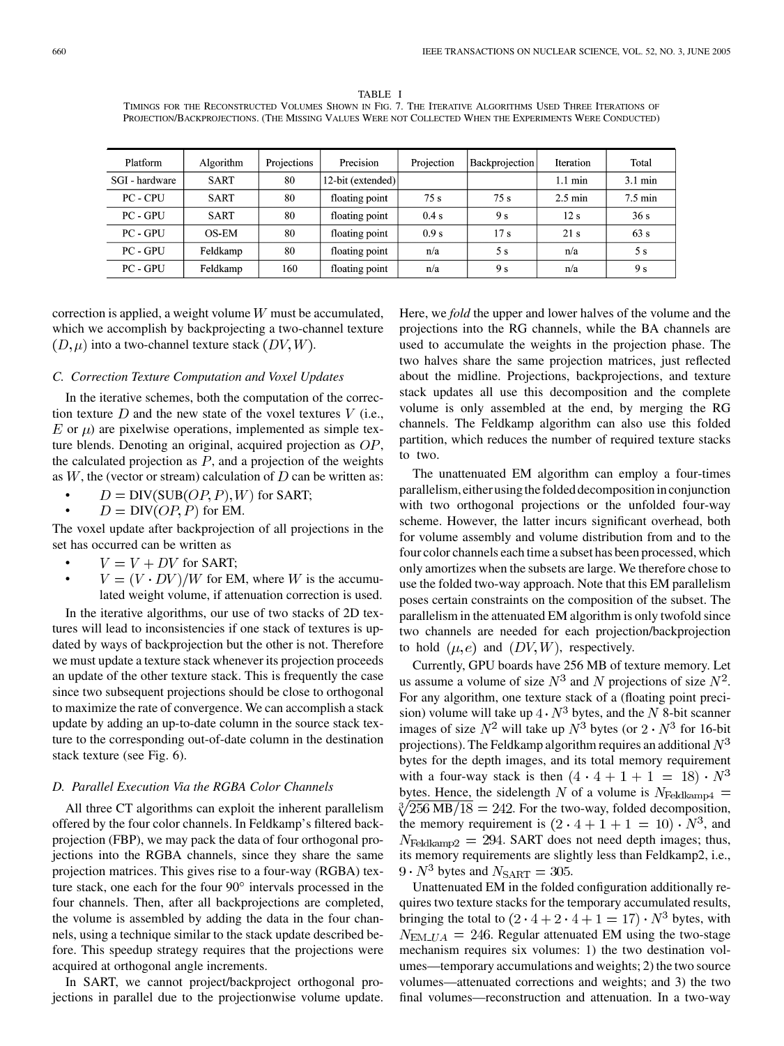TABLE I TIMINGS FOR THE RECONSTRUCTED VOLUMES SHOWN IN FIG. 7. THE ITERATIVE ALGORITHMS USED THREE ITERATIONS OF PROJECTION/BACKPROJECTIONS. (THE MISSING VALUES WERE NOT COLLECTED WHEN THE EXPERIMENTS WERE CONDUCTED)

| Platform        | Algorithm   | Projections | Precision         | Projection       | <b>Backprojection</b> | <b>Iteration</b>  | Total             |
|-----------------|-------------|-------------|-------------------|------------------|-----------------------|-------------------|-------------------|
| SGI - hardware  | <b>SART</b> | 80          | 12-bit (extended) |                  |                       | $1.1 \text{ min}$ | 3.1 min           |
| <b>PC - CPU</b> | <b>SART</b> | 80          | floating point    | 75s              | 75s                   | $2.5 \text{ min}$ | $7.5 \text{ min}$ |
| PC - GPU        | <b>SART</b> | 80          | floating point    | $0.4$ s          | 9 s                   | 12 s              | 36s               |
| PC - GPU        | OS-EM       | 80          | floating point    | 0.9 <sub>s</sub> | 17 <sub>s</sub>       | 21 s              | 63 s              |
| PC - GPU        | Feldkamp    | 80          | floating point    | n/a              | 5 s                   | n/a               | 5s                |
| PC - GPU        | Feldkamp    | 160         | floating point    | n/a              | 9 s                   | n/a               | 9 <sub>s</sub>    |

correction is applied, a weight volume  $W$  must be accumulated, which we accomplish by backprojecting a two-channel texture  $(D,\mu)$  into a two-channel texture stack  $(DV,W)$ .

# *C. Correction Texture Computation and Voxel Updates*

In the iterative schemes, both the computation of the correction texture  $D$  and the new state of the voxel textures  $V$  (i.e., E or  $\mu$ ) are pixelwise operations, implemented as simple texture blends. Denoting an original, acquired projection as  $OP$ , the calculated projection as  $P$ , and a projection of the weights as  $W$ , the (vector or stream) calculation of  $D$  can be written as:

- $D = DIV(SUB(OP, P), W)$  for SART;
- $D = DIV(OP, P)$  for EM.

The voxel update after backprojection of all projections in the set has occurred can be written as

- $V = V + DV$  for SART;
- $V = (V \cdot DV)/W$  for EM, where W is the accumulated weight volume, if attenuation correction is used.

In the iterative algorithms, our use of two stacks of 2D textures will lead to inconsistencies if one stack of textures is updated by ways of backprojection but the other is not. Therefore we must update a texture stack whenever its projection proceeds an update of the other texture stack. This is frequently the case since two subsequent projections should be close to orthogonal to maximize the rate of convergence. We can accomplish a stack update by adding an up-to-date column in the source stack texture to the corresponding out-of-date column in the destination stack texture (see Fig. 6).

## *D. Parallel Execution Via the RGBA Color Channels*

All three CT algorithms can exploit the inherent parallelism offered by the four color channels. In Feldkamp's filtered backprojection (FBP), we may pack the data of four orthogonal projections into the RGBA channels, since they share the same projection matrices. This gives rise to a four-way (RGBA) texture stack, one each for the four 90° intervals processed in the four channels. Then, after all backprojections are completed, the volume is assembled by adding the data in the four channels, using a technique similar to the stack update described before. This speedup strategy requires that the projections were acquired at orthogonal angle increments.

In SART, we cannot project/backproject orthogonal projections in parallel due to the projectionwise volume update. Here, we *fold* the upper and lower halves of the volume and the projections into the RG channels, while the BA channels are used to accumulate the weights in the projection phase. The two halves share the same projection matrices, just reflected about the midline. Projections, backprojections, and texture stack updates all use this decomposition and the complete volume is only assembled at the end, by merging the RG channels. The Feldkamp algorithm can also use this folded partition, which reduces the number of required texture stacks to two.

The unattenuated EM algorithm can employ a four-times parallelism,either using the folded decomposition in conjunction with two orthogonal projections or the unfolded four-way scheme. However, the latter incurs significant overhead, both for volume assembly and volume distribution from and to the four color channels each time a subset has been processed, which only amortizes when the subsets are large. We therefore chose to use the folded two-way approach. Note that this EM parallelism poses certain constraints on the composition of the subset. The parallelism in the attenuated EM algorithm is only twofold since two channels are needed for each projection/backprojection to hold  $(\mu, e)$  and  $(DV, W)$ , respectively.

Currently, GPU boards have 256 MB of texture memory. Let us assume a volume of size  $N^3$  and N projections of size  $N^2$ . For any algorithm, one texture stack of a (floating point precision) volume will take up  $4 \cdot N^3$  bytes, and the N 8-bit scanner images of size  $N^2$  will take up  $N^3$  bytes (or  $2 \cdot N^3$  for 16-bit projections). The Feldkamp algorithm requires an additional  $N^3$ bytes for the depth images, and its total memory requirement with a four-way stack is then  $(4 \cdot 4 + 1 + 1 = 18) \cdot N^3$ bytes. Hence, the sidelength N of a volume is  $N_{\text{Feldkamp4}} =$  $\sqrt[3]{256}$  MB/18 = 242. For the two-way, folded decomposition, the memory requirement is  $(2 \cdot 4 + 1 + 1 = 10) \cdot N^3$ , and  $N_{\text{Feldkamp2}} = 294$ . SART does not need depth images; thus, its memory requirements are slightly less than Feldkamp2, i.e.,  $9 \cdot N^3$  bytes and  $N_{\text{SART}} = 305$ .

Unattenuated EM in the folded configuration additionally requires two texture stacks for the temporary accumulated results, bringing the total to  $(2 \cdot 4 + 2 \cdot 4 + 1 = 17) \cdot N^3$  bytes, with  $N_{\text{EM\_UA}} = 246$ . Regular attenuated EM using the two-stage mechanism requires six volumes: 1) the two destination volumes—temporary accumulations and weights; 2) the two source volumes—attenuated corrections and weights; and 3) the two final volumes—reconstruction and attenuation. In a two-way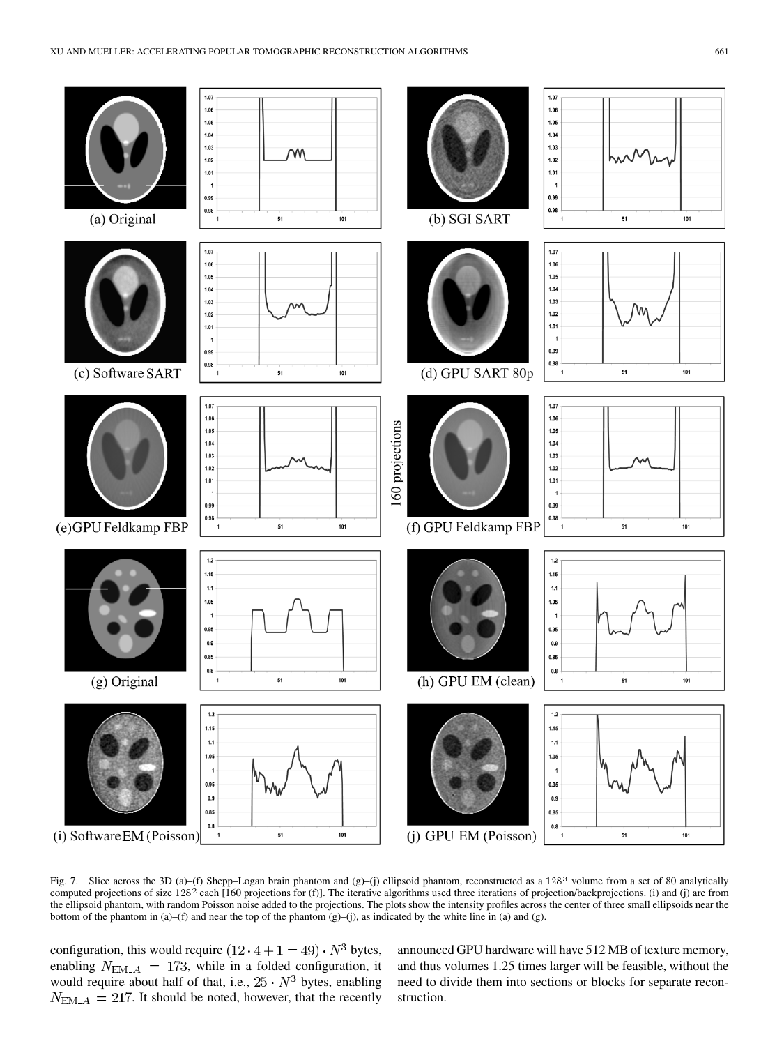

Fig. 7. Slice across the 3D (a)–(f) Shepp–Logan brain phantom and (g)–(j) ellipsoid phantom, reconstructed as a  $128<sup>3</sup>$  volume from a set of 80 analytically computed projections of size  $128^2$  each  $\left[160\right]$  projections for (f)]. The iterative algorithms used three iterations of projection/backprojections. (i) and (j) are from the ellipsoid phantom, with random Poisson noise added to the projections. The plots show the intensity profiles across the center of three small ellipsoids near the bottom of the phantom in  $(a)$ –(f) and near the top of the phantom  $(g)$ –(j), as indicated by the white line in (a) and (g).

configuration, this would require  $(12 \cdot 4 + 1 = 49) \cdot N^3$  bytes, enabling  $N_{\text{EM-}A}$  = 173, while in a folded configuration, it would require about half of that, i.e.,  $25 \cdot N^3$  bytes, enabling  $N_{\text{EM-}A} = 217$ . It should be noted, however, that the recently

announced GPU hardware will have 512 MB of texture memory, and thus volumes 1.25 times larger will be feasible, without the need to divide them into sections or blocks for separate reconstruction.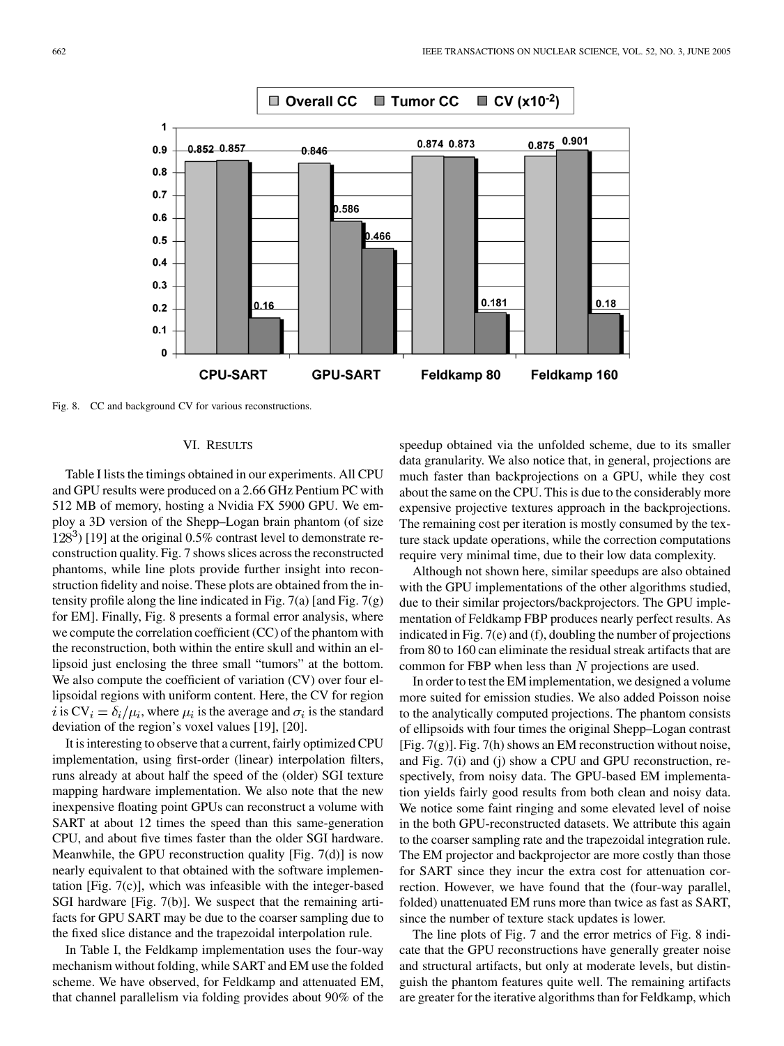

Fig. 8. CC and background CV for various reconstructions.

#### VI. RESULTS

Table I lists the timings obtained in our experiments. All CPU and GPU results were produced on a 2.66 GHz Pentium PC with 512 MB of memory, hosting a Nvidia FX 5900 GPU. We employ a 3D version of the Shepp–Logan brain phantom (of size  $128<sup>3</sup>$ ) [[19\]](#page-9-0) at the original 0.5% contrast level to demonstrate reconstruction quality. Fig. 7 shows slices across the reconstructed phantoms, while line plots provide further insight into reconstruction fidelity and noise. These plots are obtained from the intensity profile along the line indicated in Fig.  $7(a)$  [and Fig.  $7(g)$ ] for EM]. Finally, Fig. 8 presents a formal error analysis, where we compute the correlation coefficient (CC) of the phantom with the reconstruction, both within the entire skull and within an ellipsoid just enclosing the three small "tumors" at the bottom. We also compute the coefficient of variation (CV) over four ellipsoidal regions with uniform content. Here, the CV for region is  $CV_i = \delta_i / \mu_i$ , where  $\mu_i$  is the average and  $\sigma_i$  is the standard deviation of the region's voxel values [\[19](#page-9-0)], [\[20](#page-9-0)].

It is interesting to observe that a current, fairly optimized CPU implementation, using first-order (linear) interpolation filters, runs already at about half the speed of the (older) SGI texture mapping hardware implementation. We also note that the new inexpensive floating point GPUs can reconstruct a volume with SART at about 12 times the speed than this same-generation CPU, and about five times faster than the older SGI hardware. Meanwhile, the GPU reconstruction quality [Fig. 7(d)] is now nearly equivalent to that obtained with the software implementation [Fig. 7(c)], which was infeasible with the integer-based SGI hardware [Fig. 7(b)]. We suspect that the remaining artifacts for GPU SART may be due to the coarser sampling due to the fixed slice distance and the trapezoidal interpolation rule.

In Table I, the Feldkamp implementation uses the four-way mechanism without folding, while SART and EM use the folded scheme. We have observed, for Feldkamp and attenuated EM, that channel parallelism via folding provides about 90% of the

speedup obtained via the unfolded scheme, due to its smaller data granularity. We also notice that, in general, projections are much faster than backprojections on a GPU, while they cost about the same on the CPU. This is due to the considerably more expensive projective textures approach in the backprojections. The remaining cost per iteration is mostly consumed by the texture stack update operations, while the correction computations require very minimal time, due to their low data complexity.

Although not shown here, similar speedups are also obtained with the GPU implementations of the other algorithms studied, due to their similar projectors/backprojectors. The GPU implementation of Feldkamp FBP produces nearly perfect results. As indicated in Fig. 7(e) and (f), doubling the number of projections from 80 to 160 can eliminate the residual streak artifacts that are common for FBP when less than  $N$  projections are used.

In order to test the EM implementation, we designed a volume more suited for emission studies. We also added Poisson noise to the analytically computed projections. The phantom consists of ellipsoids with four times the original Shepp–Logan contrast [Fig. 7(g)]. Fig. 7(h) shows an EM reconstruction without noise, and Fig. 7(i) and (j) show a CPU and GPU reconstruction, respectively, from noisy data. The GPU-based EM implementation yields fairly good results from both clean and noisy data. We notice some faint ringing and some elevated level of noise in the both GPU-reconstructed datasets. We attribute this again to the coarser sampling rate and the trapezoidal integration rule. The EM projector and backprojector are more costly than those for SART since they incur the extra cost for attenuation correction. However, we have found that the (four-way parallel, folded) unattenuated EM runs more than twice as fast as SART, since the number of texture stack updates is lower.

The line plots of Fig. 7 and the error metrics of Fig. 8 indicate that the GPU reconstructions have generally greater noise and structural artifacts, but only at moderate levels, but distinguish the phantom features quite well. The remaining artifacts are greater for the iterative algorithms than for Feldkamp, which